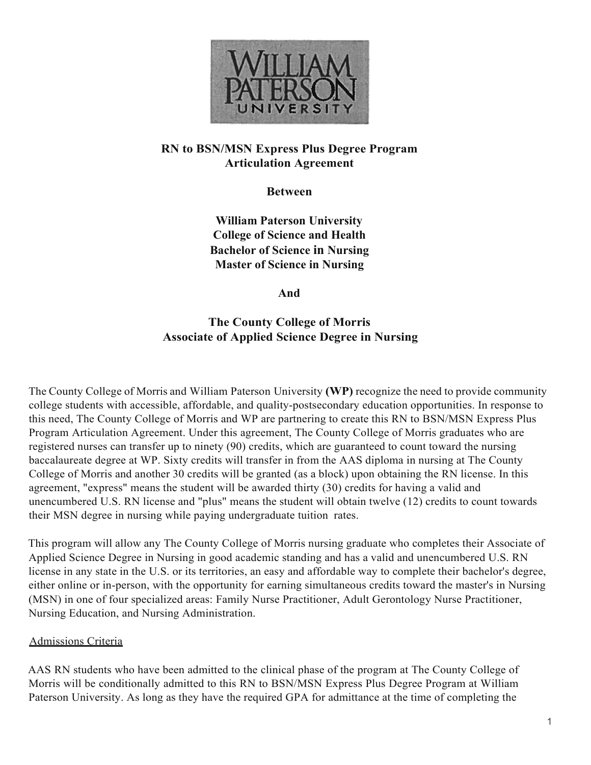

## **RN to BSN/MSN Express Plus Degree Program Articulation Agreement**

**Between**

**William Paterson University College of Science and Health Bachelor of Science in Nursing Master of Science in Nursing**

**And**

# **The County College of Morris Associate of Applied Science Degree in Nursing**

The County College of Morris and William Paterson University **(WP)** recognize the need to provide community college students with accessible, affordable, and quality-postsecondary education opportunities. In response to this need, The County College of Morris and WP are partnering to create this RN to BSN/MSN Express Plus Program Articulation Agreement. Under this agreement, The County College of Morris graduates who are registered nurses can transfer up to ninety (90) credits, which are guaranteed to count toward the nursing baccalaureate degree at WP. Sixty credits will transfer in from the AAS diploma in nursing at The County College of Morris and another 30 credits will be granted (as a block) upon obtaining the RN license. In this agreement, "express" means the student will be awarded thirty (30) credits for having a valid and unencumbered U.S. RN license and "plus" means the student will obtain twelve (12) credits to count towards their MSN degree in nursing while paying undergraduate tuition rates.

This program will allow any The County College of Morris nursing graduate who completes their Associate of Applied Science Degree in Nursing in good academic standing and has a valid and unencumbered U.S. RN license in any state in the U.S. or its territories, an easy and affordable way to complete their bachelor's degree, either online or in-person, with the opportunity for earning simultaneous credits toward the master's in Nursing (MSN) in one of four specialized areas: Family Nurse Practitioner, Adult Gerontology Nurse Practitioner, Nursing Education, and Nursing Administration.

## Admissions Criteria

AAS RN students who have been admitted to the clinical phase of the program at The County College of Morris will be conditionally admitted to this RN to BSN/MSN Express Plus Degree Program at William Paterson University. As long as they have the required GPA for admittance at the time of completing the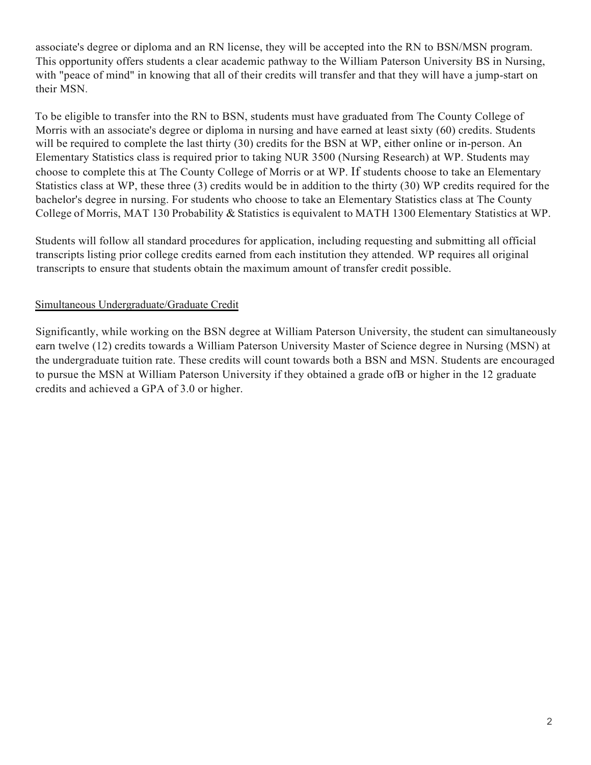associate's degree or diploma and an RN license, they will be accepted into the RN to BSN/MSN program. This opportunity offers students a clear academic pathway to the William Paterson University BS in Nursing, with "peace of mind" in knowing that all of their credits will transfer and that they will have a jump-start on their MSN.

To be eligible to transfer into the RN to BSN, students must have graduated from The County College of Morris with an associate's degree or diploma in nursing and have earned at least sixty (60) credits. Students will be required to complete the last thirty (30) credits for the BSN at WP, either online or in-person. An Elementary Statistics class is required prior to taking NUR 3500 (Nursing Research) at WP. Students may choose to complete this at The County College of Morris or at WP. If students choose to take an Elementary Statistics class at WP, these three (3) credits would be in addition to the thirty (30) WP credits required for the bachelor's degree in nursing. For students who choose to take an Elementary Statistics class at The County College of Morris, MAT 130 Probability & Statistics is equivalent to MATH 1300 Elementary Statistics at WP.

Students will follow all standard procedures for application, including requesting and submitting all official transcripts listing prior college credits earned from each institution they attended. WP requires all original transcripts to ensure that students obtain the maximum amount of transfer credit possible.

## Simultaneous Undergraduate/Graduate Credit

Significantly, while working on the BSN degree at William Paterson University, the student can simultaneously earn twelve (12) credits towards a William Paterson University Master of Science degree in Nursing (MSN) at the undergraduate tuition rate. These credits will count towards both a BSN and MSN. Students are encouraged to pursue the MSN at William Paterson University if they obtained a grade ofB or higher in the 12 graduate credits and achieved a GPA of 3.0 or higher.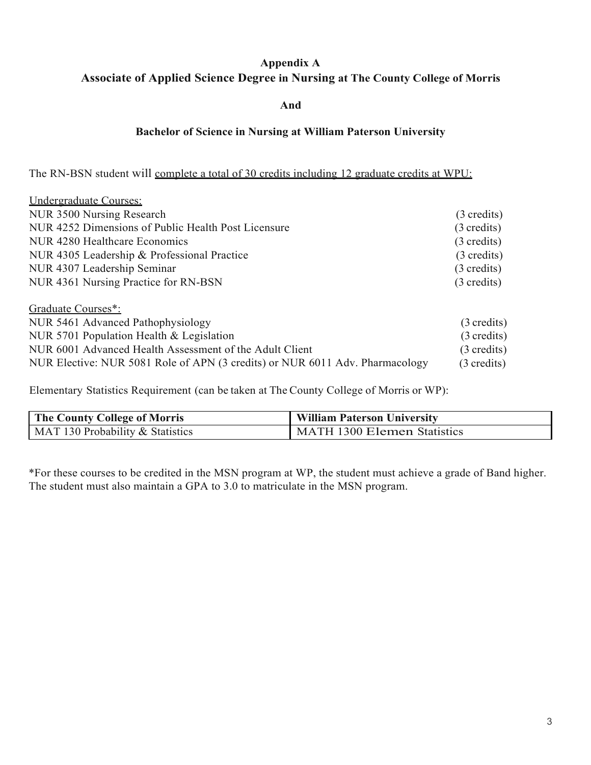# **Appendix A Associate of Applied Science Degree in Nursing at The County College of Morris**

### **And**

## **Bachelor of Science in Nursing at William Paterson University**

The RN-BSN student will complete a total of 30 credits including 12 graduate credits at WPU:

| Undergraduate Courses:                                                       |                       |
|------------------------------------------------------------------------------|-----------------------|
| NUR 3500 Nursing Research                                                    | (3 credits)           |
| NUR 4252 Dimensions of Public Health Post Licensure                          | $(3 \text{ credits})$ |
| NUR 4280 Healthcare Economics                                                | $(3 \text{ credits})$ |
| NUR 4305 Leadership & Professional Practice                                  | $(3 \text{ credits})$ |
| NUR 4307 Leadership Seminar                                                  | $(3 \text{ credits})$ |
| NUR 4361 Nursing Practice for RN-BSN                                         | $(3 \text{ credits})$ |
| Graduate Courses*:                                                           |                       |
| NUR 5461 Advanced Pathophysiology                                            | $(3 \text{ credits})$ |
| NUR 5701 Population Health & Legislation                                     | $(3 \text{ credits})$ |
| NUR 6001 Advanced Health Assessment of the Adult Client                      | $(3 \text{ credits})$ |
| NUR Elective: NUR 5081 Role of APN (3 credits) or NUR 6011 Adv. Pharmacology | (3 credits)           |

Elementary Statistics Requirement (can be taken at The County College of Morris or WP):

| <b>The County College of Morris</b> | <b>William Paterson University</b> |
|-------------------------------------|------------------------------------|
| MAT 130 Probability & Statistics    | MATH 1300 Elemen Statistics        |

\*For these courses to be credited in the MSN program at WP, the student must achieve a grade of Band higher. The student must also maintain a GPA to 3.0 to matriculate in the MSN program.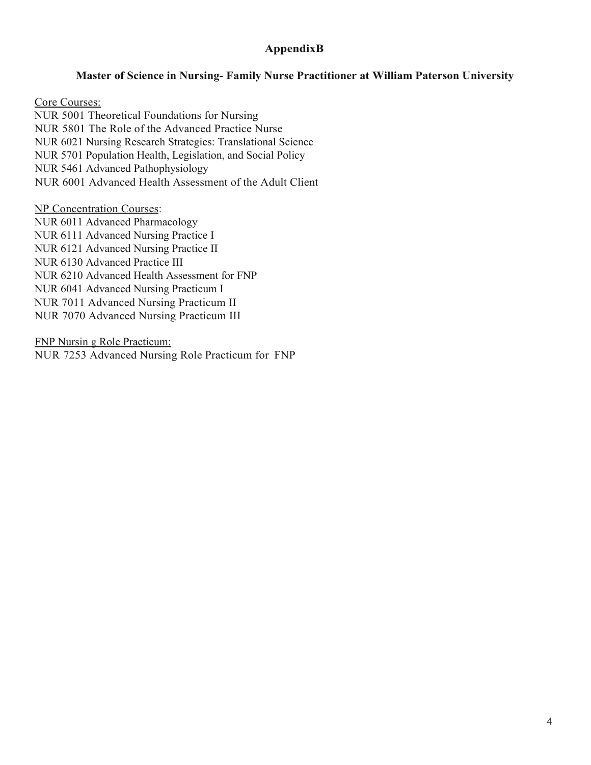## **AppendixB**

#### **Master of Science in Nursing- Family Nurse Practitioner at William Paterson University**

Core Courses: NUR 5001 Theoretical Foundations for Nursing NUR 5801 The Role of the Advanced Practice Nurse NUR 6021 Nursing Research Strategies: Translational Science NUR 5701 Population Health, Legislation, and Social Policy NUR 5461 Advanced Pathophysiology NUR 6001 Advanced Health Assessment of the Adult Client

NP Concentration Courses:

NUR 6011 Advanced Pharmacology NUR 6111 Advanced Nursing Practice I NUR 6121 Advanced Nursing Practice II NUR 6130 Advanced Practice III NUR 6210 Advanced Health Assessment for FNP NUR 6041 Advanced Nursing Practicum I NUR 7011 Advanced Nursing Practicum II NUR 7070 Advanced Nursing Practicum III

FNP Nursin g Role Practicum: NUR 7253 Advanced Nursing Role Practicum for FNP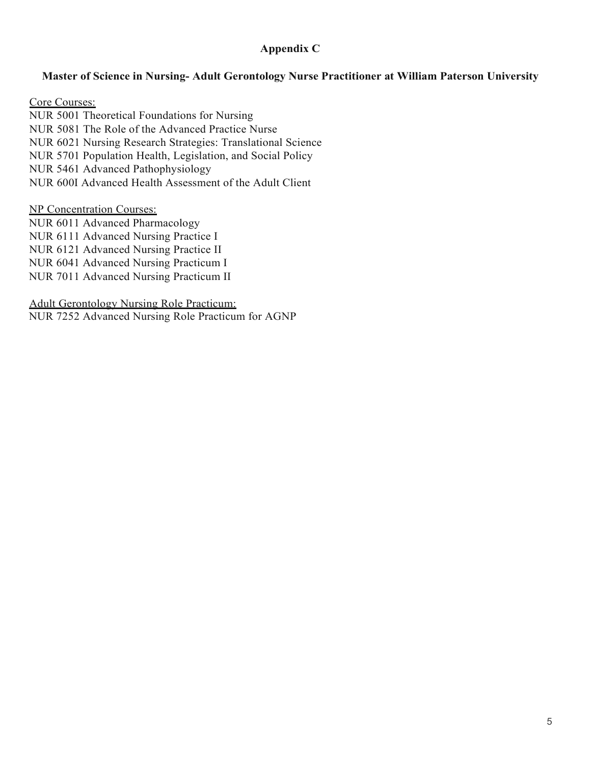## **Appendix C**

## **Master of Science in Nursing- Adult Gerontology Nurse Practitioner at William Paterson University**

Core Courses: NUR 5001 Theoretical Foundations for Nursing NUR 5081 The Role of the Advanced Practice Nurse NUR 6021 Nursing Research Strategies: Translational Science NUR 5701 Population Health, Legislation, and Social Policy NUR 5461 Advanced Pathophysiology NUR 600I Advanced Health Assessment of the Adult Client

#### NP Concentration Courses:

NUR 6011 Advanced Pharmacology NUR 6111 Advanced Nursing Practice I NUR 6121 Advanced Nursing Practice II NUR 6041 Advanced Nursing Practicum I NUR 7011 Advanced Nursing Practicum II

#### Adult Gerontology Nursing Role Practicum:

NUR 7252 Advanced Nursing Role Practicum for AGNP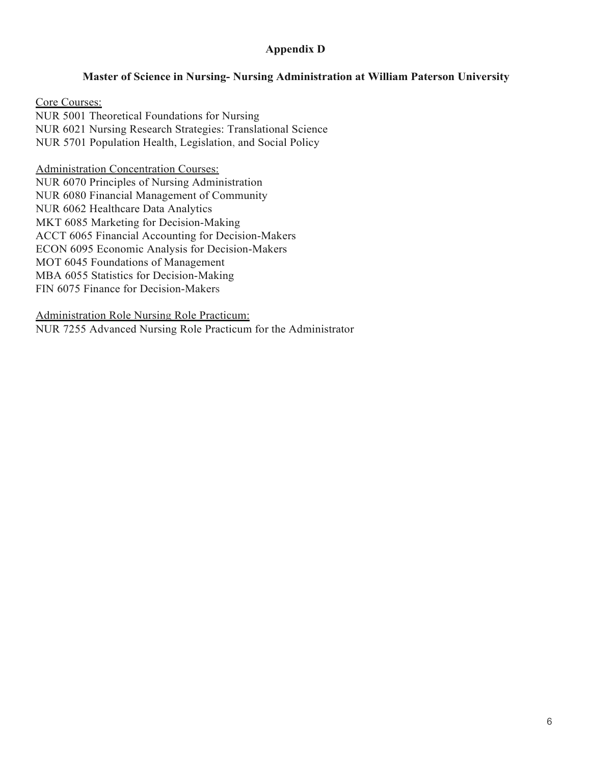## **Appendix D**

### **Master of Science in Nursing- Nursing Administration at William Paterson University**

Core Courses: NUR 5001 Theoretical Foundations for Nursing NUR 6021 Nursing Research Strategies: Translational Science NUR 5701 Population Health, Legislation, and Social Policy

Administration Concentration Courses:

NUR 6070 Principles of Nursing Administration NUR 6080 Financial Management of Community NUR 6062 Healthcare Data Analytics MKT 6085 Marketing for Decision-Making ACCT 6065 Financial Accounting for Decision-Makers ECON 6095 Economic Analysis for Decision-Makers MOT 6045 Foundations of Management MBA 6055 Statistics for Decision-Making FIN 6075 Finance for Decision-Makers

Administration Role Nursing Role Practicum: NUR 7255 Advanced Nursing Role Practicum for the Administrator